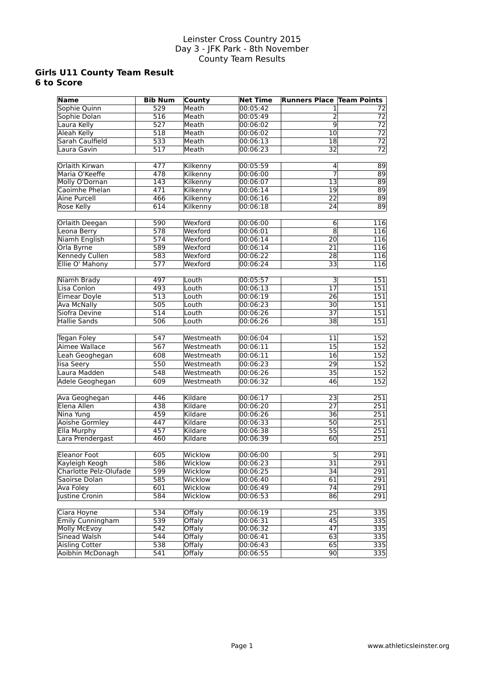#### **Girls U11 County Team Result 6 to Score**

| <b>Name</b>            | <b>Bib Num</b>   | County        | <b>Net Time</b> | <b>Runners Place Team Points</b> |                  |
|------------------------|------------------|---------------|-----------------|----------------------------------|------------------|
| Sophie Quinn           | 529              | Meath         | 00:05:42        |                                  | 72               |
| Sophie Dolan           | 516              | Meath         | 00:05:49        | 2                                | $\overline{72}$  |
| Laura Kelly            | 527              | Meath         | 00:06:02        | $\overline{9}$                   | $\overline{72}$  |
| <b>Aleah Kelly</b>     | 518              | Meath         | 00:06:02        | $\overline{10}$                  | $\overline{72}$  |
| Sarah Caulfield        | 533              | Meath         | 00:06:13        | $\overline{18}$                  | $\overline{72}$  |
| Laura Gavin            | 517              | Meath         | 00:06:23        | 32                               | $\overline{72}$  |
|                        |                  |               |                 |                                  |                  |
| Orlaith Kirwan         | 477              | Kilkenny      | 00:05:59        | 4                                | $\overline{89}$  |
| Maria O'Keeffe         | 478              | Kilkenny      | 00:06:00        | 7                                | $\overline{89}$  |
| Molly O'Dornan         | $\overline{143}$ | Kilkenny      | 00:06:07        | $\overline{13}$                  | $\overline{89}$  |
| Caoimhe Phelan         | 471              | Kilkenny      | 00:06:14        | 19                               | $\overline{89}$  |
| Aine Purcell           | 466              | Kilkenny      | 00:06:16        | 22                               | 89               |
| <b>Rose Kelly</b>      | 614              | Kilkenny      | 00:06:18        | 24                               | 89               |
|                        |                  |               |                 |                                  |                  |
| Orlaith Deegan         | 590              | Wexford       | 00:06:00        | 6                                | 116              |
| Leona Berry            | $\overline{578}$ | Wexford       | 00:06:01        | $\overline{8}$                   | 116              |
| <b>Niamh English</b>   | 574              | Wexford       | 00:06:14        | $\overline{20}$                  | 116              |
| Orla Byrne             | 589              | Wexford       | 00:06:14        | 21                               | 116              |
| Kennedy Cullen         | 583              | Wexford       | 00:06:22        | 28                               | 116              |
| Ellie O' Mahony        | 577              | Wexford       | 00:06:24        | $\overline{33}$                  | 116              |
|                        |                  |               |                 |                                  |                  |
| Niamh Brady            | 497              | Louth         | 00:05:57        | $\overline{\mathsf{E}}$          | $\overline{151}$ |
| Lisa Conlon            | 493              | Louth         | 00:06:13        | $\overline{17}$                  | 151              |
| <b>Eimear Doyle</b>    | 513              | Louth         | 00:06:19        | 26                               | 151              |
| <b>Ava McNally</b>     | 505              | Louth         | 00:06:23        | $\overline{30}$                  | $\overline{151}$ |
| Siofra Devine          | 514              | Louth         | 00:06:26        | $\overline{37}$                  | 151              |
| <b>Hallie Sands</b>    | 506              | Louth         | 00:06:26        | 38                               | 151              |
|                        |                  |               |                 |                                  |                  |
| Tegan Foley            | 547              | Westmeath     | 00:06:04        | 11                               | 152              |
| Aimee Wallace          | 567              | Westmeath     | 00:06:11        | $\overline{15}$                  | 152              |
| Leah Geoghegan         | 608              | Westmeath     | 00:06:11        | 16                               | 152              |
| lisa Seery             | 550              | Westmeath     | 00:06:23        | 29                               | 152              |
| Laura Madden           | $\overline{548}$ | Westmeath     | 00:06:26        | 35                               | 152              |
| Adele Geoghegan        | 609              | Westmeath     | 00:06:32        | 46                               | 152              |
|                        |                  |               |                 |                                  |                  |
| Ava Geoghegan          | 446              | Kildare       | 00:06:17        | 23                               | 251              |
| Elena Allen            | 438              | Kildare       | 00:06:20        | $\overline{27}$                  | $\overline{251}$ |
| Nina Yung              | 459              | Kildare       | 00:06:26        | 36                               | 251              |
| <b>Aoishe Gormley</b>  | 447              | Kildare       | 00:06:33        | 50                               | 251              |
| Ella Murphy            | 457              | Kildare       | 00:06:38        | $\overline{55}$                  | 251              |
| Lara Prendergast       | 460              | Kildare       | 00:06:39        | 60                               | 251              |
|                        |                  |               |                 |                                  |                  |
| <b>Eleanor Foot</b>    | 605              | Wicklow       | 00:06:00        | $\overline{5}$                   | 291              |
| Kayleigh Keogh         | 586              | Wicklow       | 00:06:23        | 31                               | 291              |
| Charlotte Pelz-Olufade | 599              | Wicklow       | 00:06:25        | 34                               | 291              |
| Saoirse Dolan          | 585              | Wicklow       | 00:06:40        | 61                               | $\overline{291}$ |
| <b>Ava Foley</b>       | 601              | Wicklow       | 00:06:49        | $\overline{74}$                  | 291              |
| Justine Cronin         | 584              | Wicklow       | 00:06:53        | 86                               | 291              |
|                        |                  |               |                 |                                  |                  |
| Ciara Hoyne            | 534              | Offaly        | 00:06:19        | $\overline{25}$                  | 335              |
| Emily Cunningham       | 539              | Offalv        | 00:06:31        | 45                               | 335              |
| <b>Molly McEvoy</b>    | 542              | <b>Offaly</b> | 00:06:32        | 47                               | 335              |
| Sinead Walsh           | 544              | <b>Offaly</b> | 00:06:41        | 63                               | 335              |
| Aisling Cotter         | 538              | <b>Offaly</b> | 00:06:43        | 65                               | 335              |
| Aoibhin McDonagh       | 541              | Offaly        | 00:06:55        | 90                               | 335              |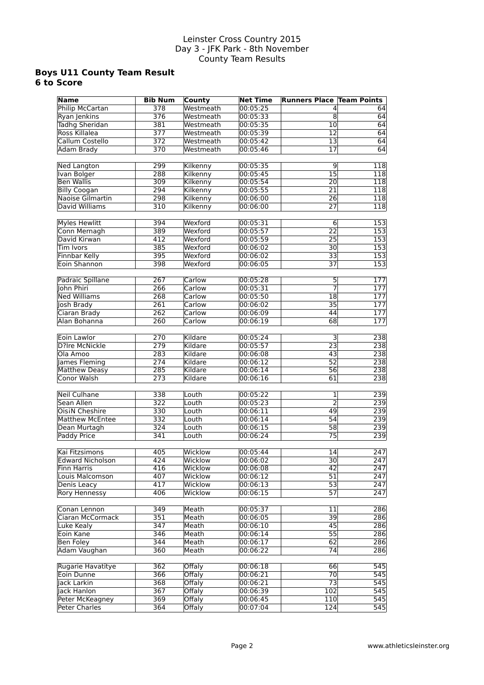#### **Boys U11 County Team Result 6 to Score**

| <b>Name</b>             | <b>Bib Num</b>   | County        | <b>Net Time</b> | <b>Runners Place Team Points</b> |                  |
|-------------------------|------------------|---------------|-----------------|----------------------------------|------------------|
| Philip McCartan         | $\overline{378}$ | Westmeath     | 00:05:25        | 4                                | 64               |
|                         | $\overline{376}$ | Westmeath     | 00:05:33        | $\overline{8}$                   | 64               |
| Ryan Jenkins            |                  |               |                 |                                  |                  |
| <b>Tadhg Sheridan</b>   | 381              | Westmeath     | 00:05:35        | 10 <sup>1</sup>                  | $\overline{64}$  |
| Ross Killalea           | $\overline{377}$ | Westmeath     | 00:05:39        | $\overline{12}$                  | 64               |
| Callum Costello         | $\overline{372}$ | Westmeath     | 00:05:42        | $\overline{13}$                  | 64               |
| Adam Brady              | 370              | Westmeath     | 00:05:46        | 17                               | 64               |
|                         |                  |               |                 |                                  |                  |
| <b>Ned Langton</b>      | 299              | Kilkenny      | 00:05:35        | $\overline{9}$                   | 118              |
| Ivan Bolger             | 288              | Kilkenny      | 00:05:45        | $\overline{15}$                  | $\overline{118}$ |
| <b>Ben Wallis</b>       | $\overline{309}$ | Kilkenny      | 00:05:54        | $\overline{20}$                  | 118              |
| <b>Billy Coogan</b>     | 294              | Kilkenny      | 00:05:55        | 21                               | 118              |
| <b>Naoise Gilmartin</b> | 298              | Kilkenny      | 00:06:00        | 26                               | 118              |
| David Williams          | 310              | Kilkenny      | 00:06:00        | $\overline{27}$                  | 118              |
|                         |                  |               |                 |                                  |                  |
| <b>Myles Hewlitt</b>    | 394              | Wexford       | 00:05:31        | $6 \overline{}$                  |                  |
|                         |                  |               |                 |                                  | 153              |
| Conn Mernagh            | 389              | Wexford       | 00:05:57        | $\overline{22}$                  | 153              |
| David Kirwan            | 412              | Wexford       | 00:05:59        | $\overline{25}$                  | 153              |
| Tim Ivors               | 385              | Wexford       | 00:06:02        | 30                               | 153              |
| <b>Finnbar Kelly</b>    | 395              | Wexford       | 00:06:02        | 33                               | 153              |
| Eoin Shannon            | 398              | Wexford       | 00:06:05        | $\overline{37}$                  | 153              |
|                         |                  |               |                 |                                  |                  |
| Padraic Spillane        | 267              | Carlow        | 00:05:28        | $\overline{5}$                   | $\overline{177}$ |
| <b>Iohn Phiri</b>       | 266              | Carlow        | 00:05:31        | 7                                | 177              |
| <b>Ned Williams</b>     | 268              | Carlow        | 00:05:50        | 18                               | $\overline{177}$ |
| Josh Brady              | 261              | Carlow        | 00:06:02        | $\overline{35}$                  | $\overline{177}$ |
| Ciaran Brady            | 262              | Carlow        | 00:06:09        | $\overline{44}$                  | $\overline{177}$ |
|                         |                  |               |                 |                                  |                  |
| Alan Bohanna            | 260              | Carlow        | 00:06:19        | 68                               | $\overline{177}$ |
|                         |                  |               |                 |                                  |                  |
| Eoin Lawlor             | 270              | Kildare       | 00:05:24        | $\overline{\mathsf{3}}$          | 238              |
| <b>D?Ire McNickle</b>   | 279              | Kildare       | 00:05:57        | 23                               | 238              |
| Ola Amoo                | 283              | Kildare       | 00:06:08        | 43                               | 238              |
| James Fleming           | 274              | Kildare       | 00:06:12        | $\overline{52}$                  | 238              |
| <b>Matthew Deasy</b>    | 285              | Kildare       | 00:06:14        | $\overline{56}$                  | 238              |
| Conor Walsh             | 273              | Kildare       | 00:06:16        | 61                               | 238              |
|                         |                  |               |                 |                                  |                  |
| <b>Neil Culhane</b>     | 338              | Louth         | 00:05:22        | 1                                | 239              |
| Sean Allen              | 322              | Louth         | 00:05:23        | $\overline{2}$                   | 239              |
| <b>OisiN Cheshire</b>   | 330              | Louth         | 00:06:11        | 49                               | 239              |
| <b>Matthew McEntee</b>  | 332              | Louth         | 00:06:14        | $\overline{54}$                  | 239              |
| Dean Murtagh            | 324              | Louth         | 00:06:15        | 58                               | 239              |
| <b>Paddy Price</b>      |                  |               |                 |                                  |                  |
|                         | 341              | Louth         | 00:06:24        | $\overline{75}$                  | 239              |
|                         |                  |               |                 |                                  |                  |
| Kai Fitzsimons          | 405              | Wicklow       | 00:05:44        | 14                               | $\overline{247}$ |
| <b>Edward Nicholson</b> | 424              | Wicklow       | 00:06:02        | $\overline{30}$                  | 247              |
| <b>Finn Harris</b>      | 416              | Wicklow       | 00:06:08        | 42                               | 247              |
| Louis Malcomson         | 407              | Wicklow       | 00:06:12        | 51                               | 247              |
| Denis Leacy             | 417              | Wicklow       | 00:06:13        | 53                               | 247              |
| Rory Hennessy           | 406              | Wicklow       | 00:06:15        | $\overline{57}$                  | 247              |
|                         |                  |               |                 |                                  |                  |
| Conan Lennon            | 349              | Meath         | 00:05:37        | 11                               | 286              |
| Ciaran McCormack        | 351              | Meath         | 00:06:05        | $\overline{39}$                  | 286              |
| Luke Kealy              | 347              | Meath         | 00:06:10        | 45                               | 286              |
| Eoin Kane               | 346              | Meath         | 00:06:14        | $\overline{55}$                  | 286              |
| <b>Ben Foley</b>        | 344              | Meath         | 00:06:17        | 62                               | 286              |
| Adam Vaughan            | 360              |               |                 | $\overline{74}$                  |                  |
|                         |                  | Meath         | 00:06:22        |                                  | 286              |
|                         |                  |               |                 |                                  |                  |
| Rugarie Havatitye       | 362              | <b>Offaly</b> | 00:06:18        | 66                               | 545              |
| Eoin Dunne              | 366              | <b>Offaly</b> | 00:06:21        | 70                               | 545              |
| Jack Larkin             | 368              | <b>Offaly</b> | 00:06:21        | 73                               | 545              |
| Jack Hanlon             | $\overline{367}$ | Offaly        | 00:06:39        | $\overline{102}$                 | $\overline{545}$ |
| Peter McKeagney         | 369              | Offaly        | 00:06:45        | 110                              | 545              |
| <b>Peter Charles</b>    | 364              | Offaly        | 00:07:04        | 124                              | 545              |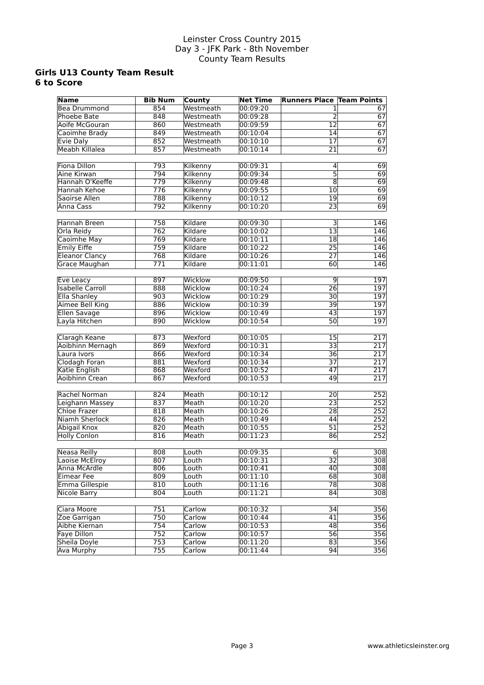#### **Girls U13 County Team Result 6 to Score**

| <b>Name</b>             | <b>Bib Num</b>   | County    | <b>Net Time</b> | <b>Runners Place Team Points</b> |                  |
|-------------------------|------------------|-----------|-----------------|----------------------------------|------------------|
| Bea Drummond            | 854              | Westmeath | 00:09:20        | 1                                | 67               |
| <b>Phoebe Bate</b>      | $\overline{848}$ | Westmeath | 00:09:28        | $\overline{2}$                   | 67               |
| Aoife McGouran          | 860              | Westmeath | 00:09:59        | $\overline{12}$                  | $\overline{67}$  |
| Caoimhe Brady           | 849              | Westmeath | 00:10:04        | 14                               | 67               |
| Evie Daly               | 852              | Westmeath | 00:10:10        | $\overline{17}$                  | 67               |
| <b>Meabh Killalea</b>   | 857              | Westmeath | 00:10:14        | $\overline{21}$                  | 67               |
|                         |                  |           |                 |                                  |                  |
| <b>Fiona Dillon</b>     | 793              | Kilkenny  | 00:09:31        | $\overline{4}$                   | 69               |
| Aine Kirwan             | 794              | Kilkenny  | 00:09:34        | $\overline{5}$                   | 69               |
| Hannah O'Keeffe         | 779              | Kilkenny  | 00:09:48        | $\overline{8}$                   | 69               |
| Hannah Kehoe            | $\overline{776}$ | Kilkenny  | 00:09:55        | 10                               | 69               |
| Saoirse Allen           | 788              | Kilkenny  | 00:10:12        | $\overline{19}$                  | 69               |
| Anna Cass               | 792              | Kilkenny  | 00:10:20        | 23                               | 69               |
|                         |                  |           |                 |                                  |                  |
| Hannah Breen            | 758              | Kildare   | 00:09:30        | 3                                | 146              |
| Orla Reidy              | $\overline{762}$ | Kildare   | 00:10:02        | $\overline{13}$                  | $\overline{146}$ |
| Caoimhe May             | 769              | Kildare   | 00:10:11        | $\overline{18}$                  | 146              |
| <b>Emily Eiffe</b>      | 759              | Kildare   | 00:10:22        | $\overline{25}$                  | 146              |
| <b>Eleanor Clancy</b>   | 768              | Kildare   | 00:10:26        | $\overline{27}$                  | 146              |
| Grace Maughan           | 771              | Kildare   | 00:11:01        | 60                               | 146              |
|                         |                  |           |                 |                                  |                  |
| Eve Leacy               | 897              | Wicklow   | 00:09:50        | 9                                | 197              |
| <b>Isabelle Carroll</b> | 888              | Wicklow   | 00:10:24        | $\overline{26}$                  | 197              |
| <b>Ella Shanley</b>     | 903              | Wicklow   | 00:10:29        | 30                               | 197              |
| Aimee Bell King         | 886              | Wicklow   | 00:10:39        | $\overline{39}$                  | 197              |
| Ellen Savage            | 896              | Wicklow   | 00:10:49        | 43                               | $\overline{197}$ |
| Layla Hitchen           | 890              | Wicklow   | 00:10:54        | $\overline{50}$                  | 197              |
| Claragh Keane           | 873              | Wexford   | 00:10:05        | 15                               | 217              |
| Aoibhinn Mernagh        | 869              | Wexford   | 00:10:31        | 33                               | 217              |
| Laura Ivors             | 866              | Wexford   | 00:10:34        | 36                               | 217              |
| Clodagh Foran           | 881              | Wexford   | 00:10:34        | $\overline{37}$                  | 217              |
| Katie English           | 868              | Wexford   | 00:10:52        | $\overline{47}$                  | $\overline{217}$ |
| Aoibhinn Crean          | 867              | Wexford   | 00:10:53        | 49                               | 217              |
|                         |                  |           |                 |                                  |                  |
| Rachel Norman           | 824              | Meath     | 00:10:12        | 20                               | 252              |
| Leighann Massey         | 837              | Meath     | 00:10:20        | $\overline{23}$                  | 252              |
| <b>Chloe Frazer</b>     | 818              | Meath     | 00:10:26        | $\overline{28}$                  | $\overline{252}$ |
| <b>Niamh Sherlock</b>   | 826              | Meath     | 00:10:49        | 44                               | 252              |
| <b>Abigail Knox</b>     | 820              | Meath     | 00:10:55        | 51                               | 252              |
| <b>Holly Conlon</b>     | 816              | Meath     | 00:11:23        | 86                               | 252              |
|                         |                  |           |                 |                                  |                  |
| <b>Neasa Reilly</b>     | 808              | Louth     | 00:09:35        | $6 \mid$                         | 308              |
| Laoise McElroy          | $\overline{807}$ | Louth     | 00:10:31        | $\overline{32}$                  | $\overline{308}$ |
| Anna McArdle            | 806              | Louth     | 00:10:41        | 40                               | 308              |
| <b>Eimear Fee</b>       | 809              | Louth     | 00:11:10        | 68                               | 308              |
| Emma Gillespie          | 810              | Louth     | 00:11:16        | $\overline{78}$                  | 308              |
| <b>Nicole Barry</b>     | 804              | Louth     | 00:11:21        | 84                               | $\overline{308}$ |
|                         |                  |           |                 |                                  |                  |
| Ciara Moore             | 751              | Carlow    | 00:10:32        | 34                               | 356              |
| Zoe Garrigan            | 750              | Carlow    | 00:10:44        | 41                               | 356              |
| Aibhe Kiernan           | 754              | Carlow    | 00:10:53        | 48                               | 356              |
| <b>Faye Dillon</b>      | 752              | Carlow    | 00:10:57        | 56                               | 356              |
| Sheila Doyle            | 753              | Carlow    | 00:11:20        | 83                               | 356              |
| <b>Ava Murphy</b>       | 755              | Carlow    | 00:11:44        | 94                               | 356              |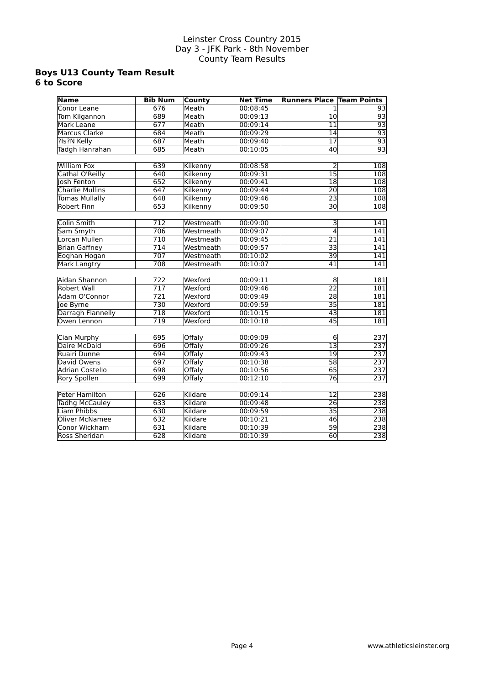#### **Boys U13 County Team Result 6 to Score**

| <b>Name</b>            | <b>Bib Num</b>   | <b>County</b> | <b>Net Time</b> | <b>Runners Place Team Points</b> |                  |
|------------------------|------------------|---------------|-----------------|----------------------------------|------------------|
| Conor Leane            | 676              | Meath         | 00:08:45        | 1                                | 93               |
| Tom Kilgannon          | 689              | Meath         | 00:09:13        | $\overline{10}$                  | $\overline{93}$  |
| Mark Leane             | 677              | Meath         | 00:09:14        | $\overline{11}$                  | 93               |
| <b>Marcus Clarke</b>   | 684              | Meath         | 00:09:29        | $\overline{14}$                  | 93               |
| ?Is?N Kelly            | 687              | Meath         | 00:09:40        | $\overline{17}$                  | 93               |
| <b>Tadgh Hanrahan</b>  | 685              | Meath         | 00:10:05        | 40                               | 93               |
| <b>William Fox</b>     | 639              | Kilkenny      | 00:08:58        | 2                                | 108              |
| Cathal O'Reilly        | 640              | Kilkenny      | 00:09:31        | $\overline{15}$                  | $\overline{108}$ |
| Josh Fenton            | 652              | Kilkenny      | 00:09:41        | $\overline{18}$                  | $\overline{108}$ |
| <b>Charlie Mullins</b> | 647              | Kilkenny      | 00:09:44        | 20                               | 108              |
| <b>Tomas Mullally</b>  | 648              | Kilkenny      | 00:09:46        | $\overline{23}$                  | 108              |
| <b>Robert Finn</b>     | 653              | Kilkenny      | 00:09:50        | $\overline{30}$                  | 108              |
| <b>Colin Smith</b>     | 712              | Westmeath     | 00:09:00        | 3                                | 141              |
| Sam Smyth              | 706              | Westmeath     | 00:09:07        | 4                                | 141              |
| Lorcan Mullen          | 710              | Westmeath     | 00:09:45        | 21                               | 141              |
| <b>Brian Gaffney</b>   | 714              | Westmeath     | 00:09:57        | 33                               | 141              |
| Eoghan Hogan           | 707              | Westmeath     | 00:10:02        | 39                               | 141              |
| <b>Mark Langtry</b>    | 708              | Westmeath     | 00:10:07        | 41                               | 141              |
| Aidan Shannon          | $\overline{722}$ | Wexford       | 00:09:11        | $\overline{8}$                   | $\overline{181}$ |
| <b>Robert Wall</b>     | $\overline{717}$ | Wexford       | 00:09:46        | $\overline{22}$                  | 181              |
| Adam O'Connor          | 721              | Wexford       | 00:09:49        | $\overline{28}$                  | 181              |
| loe Byrne              | 730              | Wexford       | 00:09:59        | $\overline{35}$                  | 181              |
| Darragh Flannelly      | $\overline{718}$ | Wexford       | 00:10:15        | $\overline{43}$                  | 181              |
| Owen Lennon            | 719              | Wexford       | 00:10:18        | $\overline{45}$                  | 181              |
|                        |                  |               |                 |                                  |                  |
| Cian Murphy            | 695              | Offaly        | 00:09:09        | $6\overline{6}$                  | 237              |
| Daire McDaid           | 696              | Offaly        | 00:09:26        | $\overline{13}$                  | 237              |
| Ruairi Dunne           | 694              | Offaly        | 00:09:43        | $\overline{19}$                  | 237              |
| David Owens            | 697              | Offaly        | 00:10:38        | $\overline{58}$                  | 237              |
| <b>Adrian Costello</b> | 698              | Offaly        | 00:10:56        | 65                               | 237              |
| <b>Rory Spollen</b>    | 699              | Offaly        | 00:12:10        | 76                               | 237              |
| <b>Peter Hamilton</b>  | 626              | Kildare       | 00:09:14        | $\overline{12}$                  | 238              |
| <b>Tadhg McCauley</b>  | 633              | Kildare       | 00:09:48        | $\overline{26}$                  | 238              |
| Liam Phibbs            | 630              | Kildare       | 00:09:59        | $\overline{35}$                  | 238              |
| <b>Oliver McNamee</b>  | 632              | Kildare       | 00:10:21        | 46                               | 238              |
| Conor Wickham          | 631              | Kildare       | 00:10:39        | 59                               | 238              |
| <b>Ross Sheridan</b>   | 628              | Kildare       | 00:10:39        | 60                               | 238              |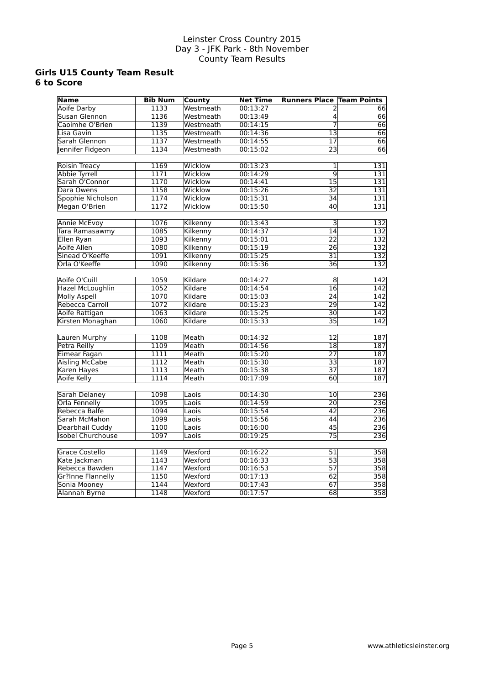#### **Girls U15 County Team Result 6 to Score**

| <b>Name</b>              | <b>Bib Num</b> | County    | <b>Net Time</b> | <b>Runners Place Team Points</b> |                  |
|--------------------------|----------------|-----------|-----------------|----------------------------------|------------------|
| <b>Aoife Darby</b>       | 1133           | Westmeath | 00:13:27        | 2                                | 66               |
| Susan Glennon            | 1136           | Westmeath | 00:13:49        | $\overline{4}$                   | $\overline{66}$  |
| Caoimhe O'Brien          | 1139           | Westmeath | 00:14:15        | 7                                | $\overline{66}$  |
| Lisa Gavin               | 1135           | Westmeath | 00:14:36        | $\overline{13}$                  | 66               |
| Sarah Glennon            | 1137           | Westmeath | 00:14:55        | 17                               | 66               |
| Jennifer Fidgeon         | 1134           | Westmeath | 00:15:02        | 23                               | 66               |
|                          |                |           |                 |                                  |                  |
| <b>Roisin Treacy</b>     | 1169           | Wicklow   | 00:13:23        | 1                                | 131              |
| Abbie Tyrrell            | 1171           | Wicklow   | 00:14:29        | $\overline{9}$                   | $\overline{131}$ |
| Sarah O'Connor           | 1170           | Wicklow   | 00:14:41        | $\overline{15}$                  | $\overline{131}$ |
| Dara Owens               | 1158           | Wicklow   | 00:15:26        | 32                               | 131              |
| Spophie Nicholson        | 1174           | Wicklow   | 00:15:31        | 34                               | 131              |
| Megan O'Brien            | 1172           | Wicklow   | 00:15:50        | $\overline{40}$                  | 131              |
|                          |                |           |                 |                                  |                  |
| <b>Annie McEvoy</b>      | 1076           | Kilkenny  | 00:13:43        | $\overline{\overline{3}}$        | 132              |
| Tara Ramasawmy           | 1085           | Kilkenny  | 00:14:37        | $\overline{14}$                  | 132              |
| Ellen Ryan               | 1093           | Kilkenny  | 00:15:01        | $\overline{22}$                  | 132              |
| Aoife Allen              | 1080           | Kilkenny  | 00:15:19        | $\overline{26}$                  | 132              |
| Sinead O'Keeffe          | 1091           | Kilkenny  | 00:15:25        | $\overline{31}$                  | 132              |
| Orla O'Keeffe            | 1090           | Kilkenny  | 00:15:36        | $\overline{36}$                  | 132              |
|                          |                |           |                 |                                  |                  |
| Aoife O'Cuill            | 1059           | Kildare   | 00:14:27        | 8                                | 142              |
| <b>Hazel McLoughlin</b>  | 1052           | Kildare   | 00:14:54        | $\overline{16}$                  | 142              |
| <b>Molly Aspell</b>      | 1070           | Kildare   | 00:15:03        | 24                               | 142              |
| Rebecca Carroll          | 1072           | Kildare   | 00:15:23        | $\overline{29}$                  | $\overline{142}$ |
| Aoife Rattigan           | 1063           | Kildare   | 00:15:25        | $\overline{30}$                  | $\overline{142}$ |
| Kirsten Monaghan         | 1060           | Kildare   | 00:15:33        | $\overline{35}$                  | $\overline{142}$ |
|                          |                |           |                 |                                  |                  |
| Lauren Murphy            | 1108           | Meath     | 00:14:32        | 12                               | 187              |
| <b>Petra Reilly</b>      | 1109           | Meath     | 00:14:56        | $\overline{18}$                  | 187              |
| Eimear Fagan             | 1111           | Meath     | 00:15:20        | $\overline{27}$                  | 187              |
| Aisling McCabe           | 1112           | Meath     | 00:15:30        | $\overline{33}$                  | 187              |
| Karen Hayes              | 1113           | Meath     | 00:15:38        | $\overline{37}$                  | 187              |
| Aoife Kelly              | 1114           | Meath     | 00:17:09        | 60                               | 187              |
|                          |                |           |                 |                                  |                  |
| <b>Sarah Delaney</b>     | 1098           | Laois     | 00:14:30        | 10                               | 236              |
| <b>Orla Fennelly</b>     | 1095           | Laois     | 00:14:59        | 20                               | 236              |
| Rebecca Balfe            | 1094           | Laois     | 00:15:54        | $\overline{42}$                  | $\overline{236}$ |
| Sarah McMahon            | 1099           | Laois     | 00:15:56        | $\overline{44}$                  | 236              |
| Dearbhail Cuddy          | 1100           | Laois     | 00:16:00        | $\overline{45}$                  | $\overline{236}$ |
| <b>Isobel Churchouse</b> | 1097           | Laois     | 00:19:25        | $\overline{75}$                  | 236              |
|                          |                |           |                 |                                  |                  |
| <b>Grace Costello</b>    | 1149           | Wexford   | 00:16:22        | 51                               | 358              |
| Kate Jackman             | 1143           | Wexford   | 00:16:33        | $\overline{53}$                  | $\overline{358}$ |
| Rebecca Bawden           | 1147           | Wexford   | 00:16:53        | $\overline{57}$                  | $\overline{358}$ |
| <b>Gr?Inne Flannelly</b> | 1150           | Wexford   | 00:17:13        | 62                               | 358              |
| Sonia Mooney             | 1144           | Wexford   | 00:17:43        | 67                               | $\overline{358}$ |
| <b>Alannah Byrne</b>     | 1148           | Wexford   | 00:17:57        | $\overline{68}$                  | $\overline{358}$ |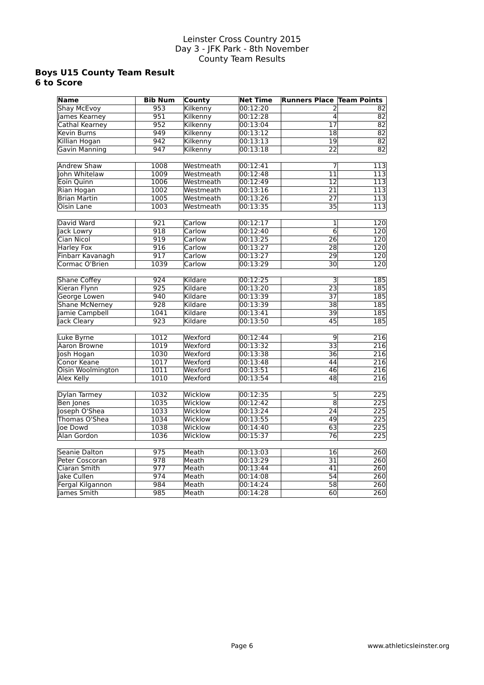#### **Boys U15 County Team Result 6 to Score**

| <b>Name</b>           | <b>Bib Num</b>   | County    | <b>Net Time</b> | <b>Runners Place Team Points</b> |                  |
|-----------------------|------------------|-----------|-----------------|----------------------------------|------------------|
| <b>Shay McEvoy</b>    | 953              | Kilkenny  | 00:12:20        |                                  | 82               |
| James Kearney         | 951              | Kilkenny  | 00:12:28        | $\overline{4}$                   | $\overline{82}$  |
| Cathal Kearney        | 952              | Kilkenny  | 00:13:04        | $\overline{17}$                  | $\overline{82}$  |
| <b>Kevin Burns</b>    | 949              | Kilkenny  | 00:13:12        | 18                               | $\overline{82}$  |
| Killian Hogan         | 942              | Kilkenny  | 00:13:13        | 19                               | $\overline{82}$  |
| <b>Gavin Manning</b>  | 947              | Kilkenny  | 00:13:18        | 22                               | $\overline{82}$  |
|                       |                  |           |                 |                                  |                  |
| <b>Andrew Shaw</b>    | 1008             | Westmeath | 00:12:41        | 7                                | $\overline{113}$ |
| <b>Iohn Whitelaw</b>  | 1009             | Westmeath | 00:12:48        | $\overline{11}$                  | $\overline{113}$ |
| Eoin Quinn            | 1006             | Westmeath | 00:12:49        | $\overline{12}$                  | $\overline{113}$ |
| Rian Hogan            | 1002             | Westmeath | 00:13:16        | $\overline{21}$                  | $\overline{113}$ |
| <b>Brian Martin</b>   | 1005             | Westmeath | 00:13:26        | $\overline{27}$                  | 113              |
| <b>Oisin Lane</b>     | 1003             | Westmeath | 00:13:35        | $\overline{35}$                  | 113              |
|                       |                  |           |                 |                                  |                  |
| David Ward            | 921              | Carlow    | 00:12:17        | $\overline{1}$                   | $\overline{120}$ |
| lack Lowry            | 918              | Carlow    | 00:12:40        | $\overline{6}$                   | $\overline{120}$ |
| Cian Nicol            | 919              | Carlow    | 00:13:25        | $\overline{26}$                  | $\overline{120}$ |
| <b>Harley Fox</b>     | 916              | Carlow    | 00:13:27        | $\overline{28}$                  | 120              |
| Finbarr Kavanagh      | 917              | Carlow    | 00:13:27        | $\overline{29}$                  | 120              |
| Cormac O'Brien        | 1039             | Carlow    | 00:13:29        | $\overline{30}$                  | $\overline{120}$ |
|                       |                  |           |                 |                                  |                  |
| <b>Shane Coffey</b>   | $\overline{924}$ | Kildare   | 00:12:25        | $\overline{\mathbf{3}}$          | 185              |
| Kieran Flynn          | 925              | Kildare   | 00:13:20        | $\overline{23}$                  | 185              |
| George Lowen          | 940              | Kildare   | 00:13:39        | 37                               | 185              |
| <b>Shane McNerney</b> | 928              | Kildare   | 00:13:39        | $\overline{38}$                  | $\overline{185}$ |
| Jamie Campbell        | 1041             | Kildare   | 00:13:41        | 39                               | $\overline{185}$ |
| Jack Cleary           | 923              | Kildare   | 00:13:50        | 45                               | 185              |
|                       |                  |           |                 |                                  |                  |
| Luke Byrne            | 1012             | Wexford   | 00:12:44        | $\overline{9}$                   | 216              |
| Aaron Browne          | 1019             | Wexford   | 00:13:32        | $\overline{33}$                  | 216              |
| Josh Hogan            | 1030             | Wexford   | 00:13:38        | $\overline{36}$                  | 216              |
| Conor Keane           | 1017             | Wexford   | 00:13:48        | 44                               | 216              |
| Oisin Woolmington     | 1011             | Wexford   | 00:13:51        | 46                               | $\overline{216}$ |
| Alex Kelly            | 1010             | Wexford   | 00:13:54        | 48                               | 216              |
|                       |                  |           |                 |                                  |                  |
| Dylan Tarmey          | 1032             | Wicklow   | 00:12:35        | 5                                | $\overline{225}$ |
| <b>Ben Jones</b>      | 1035             | Wicklow   | 00:12:42        | $\overline{\bf 8}$               | $\overline{225}$ |
| Joseph O'Shea         | 1033             | Wicklow   | 00:13:24        | $\overline{24}$                  | $\overline{225}$ |
| Thomas O'Shea         | 1034             | Wicklow   | 00:13:55        | 49                               | $\overline{225}$ |
| loe Dowd              | 1038             | Wicklow   | 00:14:40        | 63                               | 225              |
| <b>Alan Gordon</b>    | 1036             | Wicklow   | 00:15:37        | $\overline{76}$                  | 225              |
|                       |                  |           |                 |                                  |                  |
| Seanie Dalton         | 975              | Meath     | 00:13:03        | 16                               | 260              |
| Peter Coscoran        | 978              | Meath     | 00:13:29        | $\overline{31}$                  | 260              |
| Ciaran Smith          | 977              | Meath     | 00:13:44        | 41                               | $\overline{260}$ |
| Jake Cullen           | 974              | Meath     | 00:14:08        | 54                               | 260              |
| Fergal Kilgannon      | 984              | Meath     | 00:14:24        | $\overline{58}$                  | 260              |
| lames Smith           | 985              | Meath     | 00:14:28        | 60                               | $\overline{260}$ |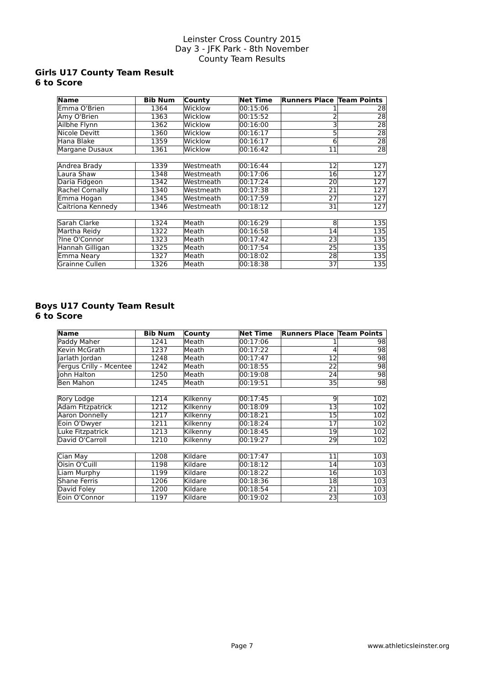# **Girls U17 County Team Result 6 to Score**

| <b>Name</b>       | <b>Bib Num</b> | County    | <b>Net Time</b> | <b>Runners Place Team Points</b> |                 |
|-------------------|----------------|-----------|-----------------|----------------------------------|-----------------|
| Emma O'Brien      | 1364           | Wicklow   | 00:15:06        |                                  | 28              |
| Amy O'Brien       | 1363           | Wicklow   | 00:15:52        |                                  | $\overline{28}$ |
| Ailbhe Flynn      | 1362           | Wicklow   | 00:16:00        |                                  | 28              |
| Nicole Devitt     | 1360           | Wicklow   | 00:16:17        | 5                                | 28              |
| Hana Blake        | 1359           | Wicklow   | 00:16:17        | 6                                | $\overline{28}$ |
| Margane Dusaux    | 1361           | Wicklow   | 00:16:42        | 11                               | $\overline{28}$ |
|                   |                |           |                 |                                  |                 |
| Andrea Brady      | 1339           | Westmeath | 00:16:44        | $12 \overline{ }$                | 127             |
| Laura Shaw        | 1348           | Westmeath | 00:17:06        | 16                               | 127             |
| Daria Fidgeon     | 1342           | Westmeath | 00:17:24        | 20                               | 127             |
| Rachel Cornally   | 1340           | Westmeath | 00:17:38        | 21                               | 127             |
| Emma Hogan        | 1345           | Westmeath | 00:17:59        | 27                               | 127             |
| Caitriona Kennedy | 1346           | Westmeath | 00:18:12        | 31                               | 127             |
|                   |                |           |                 |                                  |                 |
| Sarah Clarke      | 1324           | Meath     | 00:16:29        | 8                                | 135             |
| Martha Reidy      | 1322           | Meath     | 00:16:58        | 14                               | 135             |
| ?Ine O'Connor     | 1323           | Meath     | 00:17:42        | 23                               | 135             |
| Hannah Gilligan   | 1325           | Meath     | 00:17:54        | 25                               | 135             |
| Emma Neary        | 1327           | Meath     | 00:18:02        | 28                               | 135             |
| Grainne Cullen    | 1326           | Meath     | 00:18:38        | 37                               | 135             |

### **Boys U17 County Team Result 6 to Score**

| <b>Name</b>             | <b>Bib Num</b> | County   | <b>Net Time</b> | <b>Runners Place Team Points</b> |     |
|-------------------------|----------------|----------|-----------------|----------------------------------|-----|
| Paddy Maher             | 1241           | Meath    | 00:17:06        |                                  | 98  |
| Kevin McGrath           | 1237           | Meath    | 00:17:22        | 4                                | 98  |
| Jarlath Jordan          | 1248           | Meath    | 00:17:47        | 12                               | 98  |
| Fergus Crilly - Mcentee | 1242           | Meath    | 00:18:55        | 22                               | 98  |
| <b>Iohn Halton</b>      | 1250           | Meath    | 00:19:08        | 24                               | 98  |
| <b>Ben Mahon</b>        | 1245           | Meath    | 00:19:51        | 35 <sup>2</sup>                  | 98  |
|                         |                |          |                 |                                  |     |
| Rory Lodge              | 1214           | Kilkenny | 00:17:45        | 9                                | 102 |
| Adam Fitzpatrick        | 1212           | Kilkenny | 00:18:09        | 13                               | 102 |
| <b>Aaron Donnelly</b>   | 1217           | Kilkenny | 00:18:21        | 15                               | 102 |
| Eoin O'Dwyer            | 1211           | Kilkenny | 00:18:24        | 17                               | 102 |
| Luke Fitzpatrick        | 1213           | Kilkenny | 00:18:45        | 19                               | 102 |
| David O'Carroll         | 1210           | Kilkenny | 00:19:27        | 29                               | 102 |
|                         |                |          |                 |                                  |     |
| Cian May                | 1208           | Kildare  | 00:17:47        | 11                               | 103 |
| Oisin O'Cuill           | 1198           | Kildare  | 00:18:12        | 14                               | 103 |
| Liam Murphy             | 1199           | Kildare  | 00:18:22        | 16                               | 103 |
| <b>Shane Ferris</b>     | 1206           | Kildare  | 00:18:36        | 18                               | 103 |
| David Foley             | 1200           | Kildare  | 00:18:54        | 21                               | 103 |
| Eoin O'Connor           | 1197           | Kildare  | 00:19:02        | 23                               | 103 |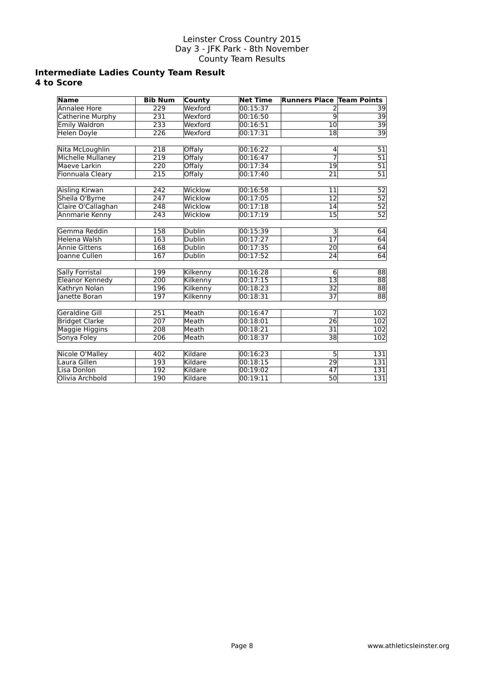# **Intermediate Ladies County Team Result 4 to Score**

| <b>Name</b>            | <b>Bib Num</b>   | County        | <b>Net Time</b>      | <b>Runners Place Team Points</b> |                                    |
|------------------------|------------------|---------------|----------------------|----------------------------------|------------------------------------|
| Annalee Hore           | $\overline{229}$ | Wexford       | 00:15:37             |                                  | 39                                 |
| Catherine Murphy       | 231              | Wexford       | 00:16:50             | $\overline{9}$                   | $\overline{39}$                    |
| <b>Emily Waldron</b>   | 233              | Wexford       | 00:16:51             | $\overline{10}$                  | $\overline{39}$                    |
| <b>Helen Doyle</b>     | 226              | Wexford       | 00:17:31             | 18                               | $\overline{39}$                    |
|                        |                  |               |                      |                                  |                                    |
| Nita McLoughlin        | 218              | Offaly        | 00:16:22             | 4                                | $\overline{51}$                    |
| Michelle Mullaney      | 219              | Offaly        | 00:16:47             | 7                                | $\overline{51}$                    |
| Maeve Larkin           | 220              | Offaly        | 00:17:34             | 19                               | $\overline{51}$                    |
| Fionnuala Cleary       | 215              | Offaly        | 00:17:40             | $\overline{21}$                  | $\overline{51}$                    |
| Aisling Kirwan         | 242              | Wicklow       | 00:16:58             | 11                               | 52                                 |
| Sheila O'Byrne         | $\overline{247}$ | Wicklow       | 00:17:05             | 12                               | $\overline{52}$                    |
| Claire O'Callaghan     | 248              | Wicklow       | 00:17:18             | 14                               | $\overline{52}$                    |
| Annmarie Kenny         | $\overline{243}$ | Wicklow       | 00:17:19             | $\overline{15}$                  | $\overline{52}$                    |
|                        |                  |               |                      |                                  |                                    |
| Gemma Reddin           | 158              | <b>Dublin</b> | 00:15:39             | 3                                | 64                                 |
| Helena Walsh           | 163              | <b>Dublin</b> | 00:17:27             | 17                               | 64                                 |
| <b>Annie Gittens</b>   | 168              | <b>Dublin</b> | 00:17:35             | $\overline{20}$                  | 64                                 |
| Joanne Cullen          | 167              | Dublin        | 00:17:52             | 24                               | 64                                 |
|                        | 199              |               |                      |                                  |                                    |
| <b>Sally Forristal</b> | 200              | Kilkenny      | 00:16:28<br>00:17:15 | $6 \mid$<br>$\overline{13}$      | 88<br>$\overline{88}$              |
| <b>Eleanor Kennedy</b> |                  | Kilkenny      |                      |                                  |                                    |
| Kathryn Nolan          | 196              | Kilkenny      | 00:18:23             | 32                               | $\overline{88}$<br>$\overline{88}$ |
| Janette Boran          | 197              | Kilkenny      | 00:18:31             | $\overline{37}$                  |                                    |
| Geraldine Gill         | $\overline{251}$ | Meath         | 00:16:47             | 7                                | 102                                |
| <b>Bridget Clarke</b>  | 207              | Meath         | 00:18:01             | 26                               | 102                                |
| <b>Maggie Higgins</b>  | 208              | Meath         | 00:18:21             | 31                               | 102                                |
| Sonya Foley            | 206              | Meath         | 00:18:37             | 38                               | 102                                |
|                        |                  |               |                      |                                  |                                    |
| Nicole O'Malley        | 402              | Kildare       | 00:16:23             | 5                                | 131                                |
| Laura Gillen           | 193              | Kildare       | 00:18:15             | 29                               | 131                                |
| Lisa Donlon            | 192              | Kildare       | 00:19:02             | 47                               | 131                                |
| Olivia Archbold        | 190              | Kildare       | 00:19:11             | $\overline{50}$                  | 131                                |